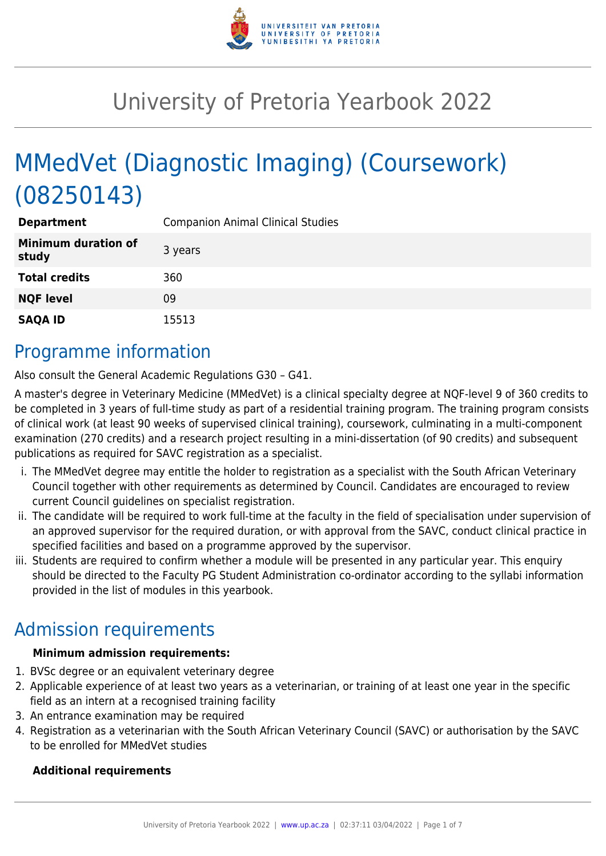

# University of Pretoria Yearbook 2022

# MMedVet (Diagnostic Imaging) (Coursework) (08250143)

| <b>Department</b>                   | <b>Companion Animal Clinical Studies</b> |
|-------------------------------------|------------------------------------------|
| <b>Minimum duration of</b><br>study | 3 years                                  |
| <b>Total credits</b>                | 360                                      |
| <b>NQF level</b>                    | 09                                       |
| <b>SAQA ID</b>                      | 15513                                    |

### Programme information

Also consult the General Academic Regulations G30 – G41.

A master's degree in Veterinary Medicine (MMedVet) is a clinical specialty degree at NQF-level 9 of 360 credits to be completed in 3 years of full-time study as part of a residential training program. The training program consists of clinical work (at least 90 weeks of supervised clinical training), coursework, culminating in a multi-component examination (270 credits) and a research project resulting in a mini-dissertation (of 90 credits) and subsequent publications as required for SAVC registration as a specialist.

- i. The MMedVet degree may entitle the holder to registration as a specialist with the South African Veterinary Council together with other requirements as determined by Council. Candidates are encouraged to review current Council guidelines on specialist registration.
- ii. The candidate will be required to work full-time at the faculty in the field of specialisation under supervision of an approved supervisor for the required duration, or with approval from the SAVC, conduct clinical practice in specified facilities and based on a programme approved by the supervisor.
- iii. Students are required to confirm whether a module will be presented in any particular year. This enquiry should be directed to the Faculty PG Student Administration co-ordinator according to the syllabi information provided in the list of modules in this yearbook.

# Admission requirements

#### **Minimum admission requirements:**

- 1. BVSc degree or an equivalent veterinary degree
- 2. Applicable experience of at least two years as a veterinarian, or training of at least one year in the specific field as an intern at a recognised training facility
- 3. An entrance examination may be required
- 4. Registration as a veterinarian with the South African Veterinary Council (SAVC) or authorisation by the SAVC to be enrolled for MMedVet studies

#### **Additional requirements**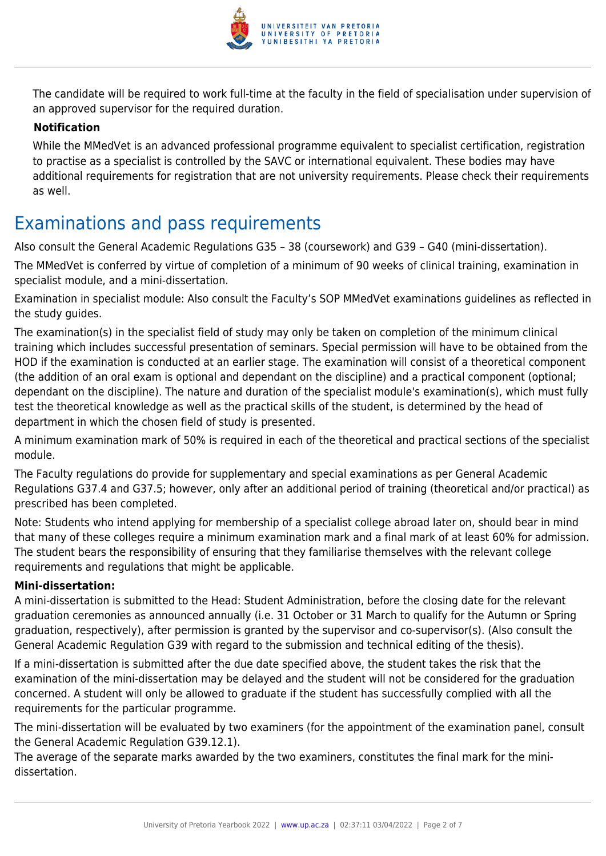

The candidate will be required to work full-time at the faculty in the field of specialisation under supervision of an approved supervisor for the required duration.

#### **Notification**

While the MMedVet is an advanced professional programme equivalent to specialist certification, registration to practise as a specialist is controlled by the SAVC or international equivalent. These bodies may have additional requirements for registration that are not university requirements. Please check their requirements as well.

## Examinations and pass requirements

Also consult the General Academic Regulations G35 – 38 (coursework) and G39 – G40 (mini-dissertation).

The MMedVet is conferred by virtue of completion of a minimum of 90 weeks of clinical training, examination in specialist module, and a mini-dissertation.

Examination in specialist module: Also consult the Faculty's SOP MMedVet examinations guidelines as reflected in the study guides.

The examination(s) in the specialist field of study may only be taken on completion of the minimum clinical training which includes successful presentation of seminars. Special permission will have to be obtained from the HOD if the examination is conducted at an earlier stage. The examination will consist of a theoretical component (the addition of an oral exam is optional and dependant on the discipline) and a practical component (optional; dependant on the discipline). The nature and duration of the specialist module's examination(s), which must fully test the theoretical knowledge as well as the practical skills of the student, is determined by the head of department in which the chosen field of study is presented.

A minimum examination mark of 50% is required in each of the theoretical and practical sections of the specialist module.

The Faculty regulations do provide for supplementary and special examinations as per General Academic Regulations G37.4 and G37.5; however, only after an additional period of training (theoretical and/or practical) as prescribed has been completed.

Note: Students who intend applying for membership of a specialist college abroad later on, should bear in mind that many of these colleges require a minimum examination mark and a final mark of at least 60% for admission. The student bears the responsibility of ensuring that they familiarise themselves with the relevant college requirements and regulations that might be applicable.

#### **Mini-dissertation:**

A mini-dissertation is submitted to the Head: Student Administration, before the closing date for the relevant graduation ceremonies as announced annually (i.e. 31 October or 31 March to qualify for the Autumn or Spring graduation, respectively), after permission is granted by the supervisor and co-supervisor(s). (Also consult the General Academic Regulation G39 with regard to the submission and technical editing of the thesis).

If a mini-dissertation is submitted after the due date specified above, the student takes the risk that the examination of the mini-dissertation may be delayed and the student will not be considered for the graduation concerned. A student will only be allowed to graduate if the student has successfully complied with all the requirements for the particular programme.

The mini-dissertation will be evaluated by two examiners (for the appointment of the examination panel, consult the General Academic Regulation G39.12.1).

The average of the separate marks awarded by the two examiners, constitutes the final mark for the minidissertation.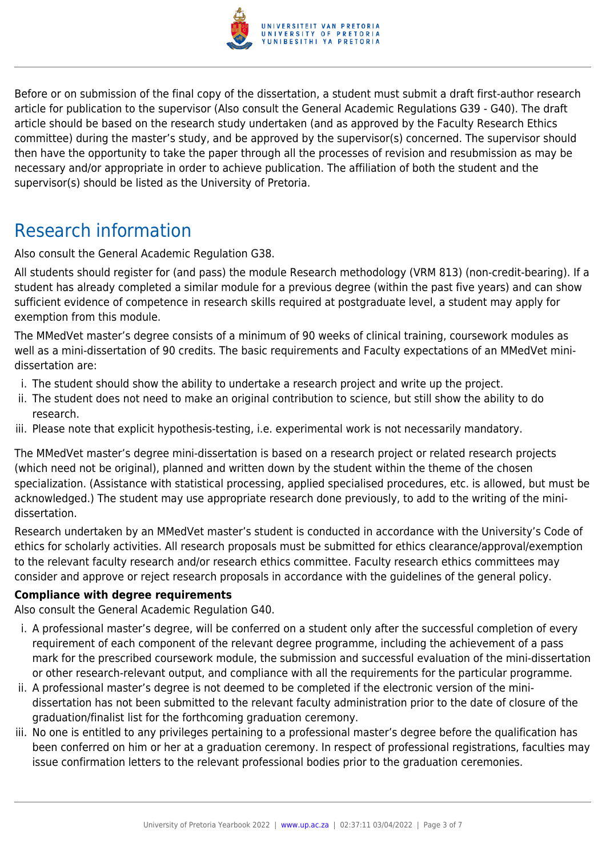

Before or on submission of the final copy of the dissertation, a student must submit a draft first-author research article for publication to the supervisor (Also consult the General Academic Regulations G39 - G40). The draft article should be based on the research study undertaken (and as approved by the Faculty Research Ethics committee) during the master's study, and be approved by the supervisor(s) concerned. The supervisor should then have the opportunity to take the paper through all the processes of revision and resubmission as may be necessary and/or appropriate in order to achieve publication. The affiliation of both the student and the supervisor(s) should be listed as the University of Pretoria.

## Research information

Also consult the General Academic Regulation G38.

All students should register for (and pass) the module Research methodology (VRM 813) (non-credit-bearing). If a student has already completed a similar module for a previous degree (within the past five years) and can show sufficient evidence of competence in research skills required at postgraduate level, a student may apply for exemption from this module.

The MMedVet master's degree consists of a minimum of 90 weeks of clinical training, coursework modules as well as a mini-dissertation of 90 credits. The basic requirements and Faculty expectations of an MMedVet minidissertation are:

- i. The student should show the ability to undertake a research project and write up the project.
- ii. The student does not need to make an original contribution to science, but still show the ability to do research.
- iii. Please note that explicit hypothesis-testing, i.e. experimental work is not necessarily mandatory.

The MMedVet master's degree mini-dissertation is based on a research project or related research projects (which need not be original), planned and written down by the student within the theme of the chosen specialization. (Assistance with statistical processing, applied specialised procedures, etc. is allowed, but must be acknowledged.) The student may use appropriate research done previously, to add to the writing of the minidissertation.

Research undertaken by an MMedVet master's student is conducted in accordance with the University's Code of ethics for scholarly activities. All research proposals must be submitted for ethics clearance/approval/exemption to the relevant faculty research and/or research ethics committee. Faculty research ethics committees may consider and approve or reject research proposals in accordance with the guidelines of the general policy.

#### **Compliance with degree requirements**

Also consult the General Academic Regulation G40.

- i. A professional master's degree, will be conferred on a student only after the successful completion of every requirement of each component of the relevant degree programme, including the achievement of a pass mark for the prescribed coursework module, the submission and successful evaluation of the mini-dissertation or other research-relevant output, and compliance with all the requirements for the particular programme.
- ii. A professional master's degree is not deemed to be completed if the electronic version of the minidissertation has not been submitted to the relevant faculty administration prior to the date of closure of the graduation/finalist list for the forthcoming graduation ceremony.
- iii. No one is entitled to any privileges pertaining to a professional master's degree before the qualification has been conferred on him or her at a graduation ceremony. In respect of professional registrations, faculties may issue confirmation letters to the relevant professional bodies prior to the graduation ceremonies.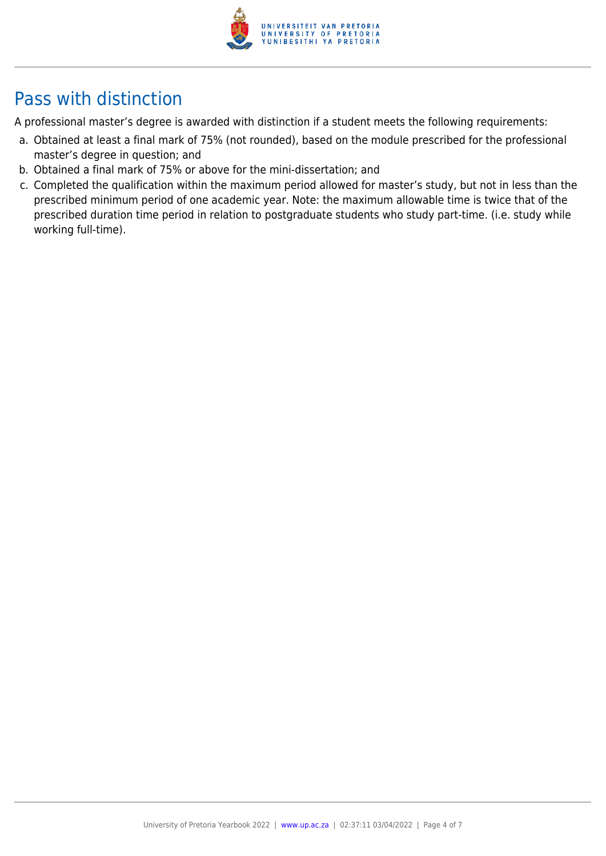

# Pass with distinction

A professional master's degree is awarded with distinction if a student meets the following requirements:

- a. Obtained at least a final mark of 75% (not rounded), based on the module prescribed for the professional master's degree in question; and
- b. Obtained a final mark of 75% or above for the mini-dissertation; and
- c. Completed the qualification within the maximum period allowed for master's study, but not in less than the prescribed minimum period of one academic year. Note: the maximum allowable time is twice that of the prescribed duration time period in relation to postgraduate students who study part-time. (i.e. study while working full-time).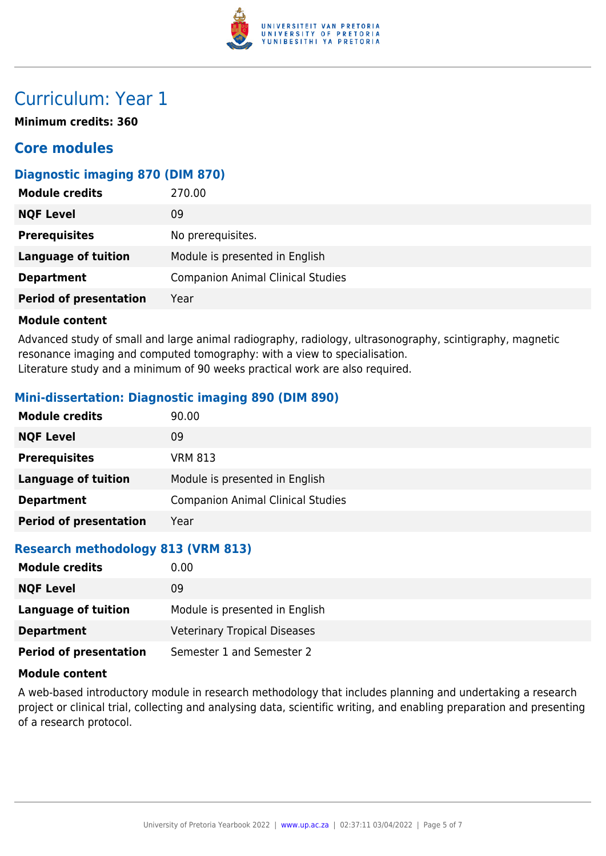

### Curriculum: Year 1

**Minimum credits: 360**

### **Core modules**

#### **Diagnostic imaging 870 (DIM 870)**

| <b>Module credits</b>         | 270.00                                   |
|-------------------------------|------------------------------------------|
| <b>NQF Level</b>              | 09                                       |
| <b>Prerequisites</b>          | No prerequisites.                        |
| <b>Language of tuition</b>    | Module is presented in English           |
| <b>Department</b>             | <b>Companion Animal Clinical Studies</b> |
| <b>Period of presentation</b> | Year                                     |

#### **Module content**

Advanced study of small and large animal radiography, radiology, ultrasonography, scintigraphy, magnetic resonance imaging and computed tomography: with a view to specialisation. Literature study and a minimum of 90 weeks practical work are also required.

#### **Mini-dissertation: Diagnostic imaging 890 (DIM 890)**

| <b>Module credits</b>         | 90.00                                    |
|-------------------------------|------------------------------------------|
| <b>NQF Level</b>              | 09                                       |
| <b>Prerequisites</b>          | <b>VRM 813</b>                           |
| Language of tuition           | Module is presented in English           |
| <b>Department</b>             | <b>Companion Animal Clinical Studies</b> |
| <b>Period of presentation</b> | Year                                     |

#### **Research methodology 813 (VRM 813)**

| <b>Module credits</b>         | 0.00                                |
|-------------------------------|-------------------------------------|
| <b>NQF Level</b>              | 09                                  |
| Language of tuition           | Module is presented in English      |
| <b>Department</b>             | <b>Veterinary Tropical Diseases</b> |
| <b>Period of presentation</b> | Semester 1 and Semester 2           |

#### **Module content**

A web-based introductory module in research methodology that includes planning and undertaking a research project or clinical trial, collecting and analysing data, scientific writing, and enabling preparation and presenting of a research protocol.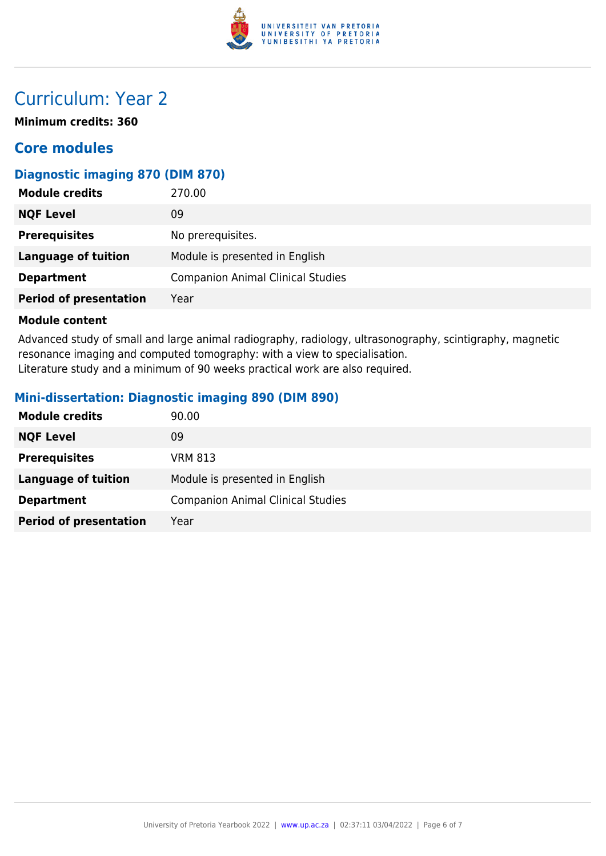

## Curriculum: Year 2

**Minimum credits: 360**

### **Core modules**

### **Diagnostic imaging 870 (DIM 870)**

| <b>Module credits</b>         | 270.00                                   |
|-------------------------------|------------------------------------------|
| <b>NQF Level</b>              | 09                                       |
| <b>Prerequisites</b>          | No prerequisites.                        |
| <b>Language of tuition</b>    | Module is presented in English           |
| <b>Department</b>             | <b>Companion Animal Clinical Studies</b> |
| <b>Period of presentation</b> | Year                                     |

#### **Module content**

Advanced study of small and large animal radiography, radiology, ultrasonography, scintigraphy, magnetic resonance imaging and computed tomography: with a view to specialisation. Literature study and a minimum of 90 weeks practical work are also required.

#### **Mini-dissertation: Diagnostic imaging 890 (DIM 890)**

| <b>Module credits</b>         | 90.00                                    |
|-------------------------------|------------------------------------------|
| <b>NQF Level</b>              | 09                                       |
| <b>Prerequisites</b>          | <b>VRM 813</b>                           |
| <b>Language of tuition</b>    | Module is presented in English           |
| <b>Department</b>             | <b>Companion Animal Clinical Studies</b> |
| <b>Period of presentation</b> | Year                                     |